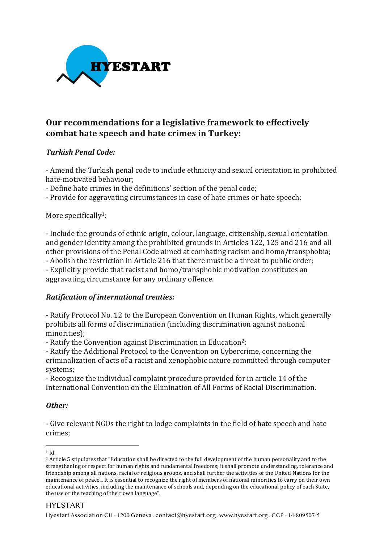

# **Our recommendations for a legislative framework to effectively combat hate speech and hate crimes in Turkey:**

### *Turkish Penal Code:*

- Amend the Turkish penal code to include ethnicity and sexual orientation in prohibited hate-motivated behaviour;

- Define hate crimes in the definitions' section of the penal code;

- Provide for aggravating circumstances in case of hate crimes or hate speech;

More specifically<sup>1</sup>:

- Include the grounds of ethnic origin, colour, language, citizenship, sexual orientation and gender identity among the prohibited grounds in Articles 122, 125 and 216 and all other provisions of the Penal Code aimed at combating racism and homo/transphobia;

- Abolish the restriction in Article 216 that there must be a threat to public order; - Explicitly provide that racist and homo/transphobic motivation constitutes an aggravating circumstance for any ordinary offence.

#### **Ratification of international treaties:**

- Ratify Protocol No. 12 to the European Convention on Human Rights, which generally prohibits all forms of discrimination (including discrimination against national minorities);

- Ratify the Convention against Discrimination in Education<sup>2</sup>;

- Ratify the Additional Protocol to the Convention on Cybercrime, concerning the criminalization of acts of a racist and xenophobic nature committed through computer systems;

- Recognize the individual complaint procedure provided for in article 14 of the International Convention on the Elimination of All Forms of Racial Discrimination.

#### *Other:*

- Give relevant NGOs the right to lodge complaints in the field of hate speech and hate crimes; 

#### HYESTART

Hyestart Association CH - 1200 Geneva . contact@hyestart.org . www.hyestart.org . CCP - 14-809507-5

 <sup>1</sup> Id.

<sup>&</sup>lt;sup>2</sup> Article 5 stipulates that "Education shall be directed to the full development of the human personality and to the strengthening of respect for human rights and fundamental freedoms; it shall promote understanding, tolerance and friendship among all nations, racial or religious groups, and shall further the activities of the United Nations for the maintenance of peace... It is essential to recognize the right of members of national minorities to carry on their own educational activities, including the maintenance of schools and, depending on the educational policy of each State, the use or the teaching of their own language".